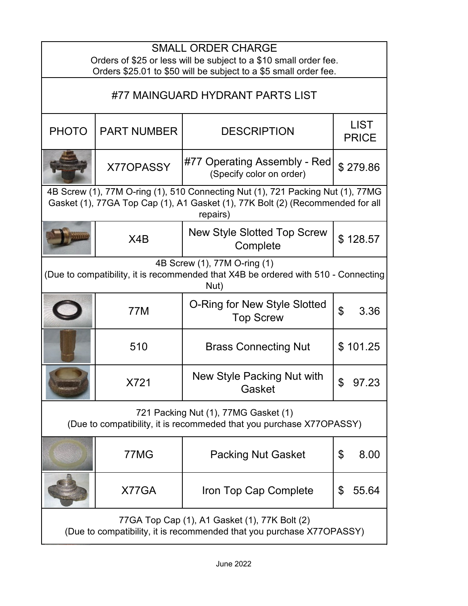| <b>SMALL ORDER CHARGE</b><br>Orders of \$25 or less will be subject to a \$10 small order fee.<br>Orders \$25.01 to \$50 will be subject to a \$5 small order fee.            |                    |                                                          |                             |  |
|-------------------------------------------------------------------------------------------------------------------------------------------------------------------------------|--------------------|----------------------------------------------------------|-----------------------------|--|
| #77 MAINGUARD HYDRANT PARTS LIST                                                                                                                                              |                    |                                                          |                             |  |
| <b>PHOTO</b>                                                                                                                                                                  | <b>PART NUMBER</b> | <b>DESCRIPTION</b>                                       | <b>LIST</b><br><b>PRICE</b> |  |
|                                                                                                                                                                               | <b>X77OPASSY</b>   | #77 Operating Assembly - Red<br>(Specify color on order) | \$279.86                    |  |
| 4B Screw (1), 77M O-ring (1), 510 Connecting Nut (1), 721 Packing Nut (1), 77MG<br>Gasket (1), 77GA Top Cap (1), A1 Gasket (1), 77K Bolt (2) (Recommended for all<br>repairs) |                    |                                                          |                             |  |
|                                                                                                                                                                               | X4B                | <b>New Style Slotted Top Screw</b><br>Complete           | \$128.57                    |  |
| 4B Screw (1), 77M O-ring (1)<br>(Due to compatibility, it is recommended that X4B be ordered with 510 - Connecting<br>Nut)                                                    |                    |                                                          |                             |  |
|                                                                                                                                                                               | <b>77M</b>         | O-Ring for New Style Slotted<br><b>Top Screw</b>         | $\mathfrak{L}$<br>3.36      |  |
|                                                                                                                                                                               | 510                | <b>Brass Connecting Nut</b>                              | \$101.25                    |  |
|                                                                                                                                                                               | X721               | New Style Packing Nut with<br>Gasket                     |                             |  |
| 721 Packing Nut (1), 77MG Gasket (1)<br>(Due to compatibility, it is recommeded that you purchase X77OPASSY)                                                                  |                    |                                                          |                             |  |
|                                                                                                                                                                               | 77MG               | <b>Packing Nut Gasket</b>                                | \$<br>8.00                  |  |
|                                                                                                                                                                               | X77GA              | Iron Top Cap Complete                                    | \$<br>55.64                 |  |
| 77GA Top Cap (1), A1 Gasket (1), 77K Bolt (2)<br>(Due to compatibility, it is recommended that you purchase X77OPASSY)                                                        |                    |                                                          |                             |  |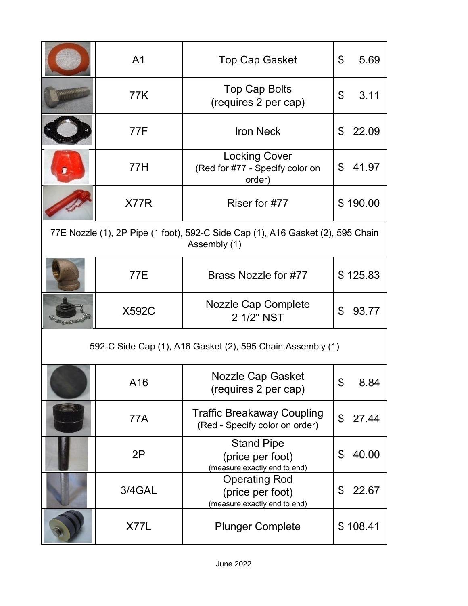|                                                            | A <sub>1</sub> | <b>Top Cap Gasket</b>                                                                           | \$<br>5.69  |
|------------------------------------------------------------|----------------|-------------------------------------------------------------------------------------------------|-------------|
|                                                            | 77K            | <b>Top Cap Bolts</b><br>(requires 2 per cap)                                                    | 3.11<br>\$  |
|                                                            | 77F            | <b>Iron Neck</b>                                                                                | \$<br>22.09 |
|                                                            | 77H            | <b>Locking Cover</b><br>(Red for #77 - Specify color on<br>order)                               | 41.97<br>\$ |
|                                                            | X77R           | Riser for #77                                                                                   | \$190.00    |
|                                                            |                | 77E Nozzle (1), 2P Pipe (1 foot), 592-C Side Cap (1), A16 Gasket (2), 595 Chain<br>Assembly (1) |             |
|                                                            | 77E            | Brass Nozzle for #77                                                                            | \$125.83    |
|                                                            | <b>X592C</b>   | <b>Nozzle Cap Complete</b><br>2 1/2" NST                                                        | \$<br>93.77 |
| 592-C Side Cap (1), A16 Gasket (2), 595 Chain Assembly (1) |                |                                                                                                 |             |
|                                                            | A16            | <b>Nozzle Cap Gasket</b><br>(requires 2 per cap)                                                | ሮ<br>8.84   |
|                                                            | 77A            | <b>Traffic Breakaway Coupling</b><br>(Red - Specify color on order)                             | \$<br>27.44 |
|                                                            | 2P             | <b>Stand Pipe</b><br>(price per foot)<br>(measure exactly end to end)                           | \$<br>40.00 |
|                                                            | 3/4GAL         | <b>Operating Rod</b><br>(price per foot)<br>(measure exactly end to end)                        | \$<br>22.67 |
|                                                            | X77L           | <b>Plunger Complete</b>                                                                         | \$108.41    |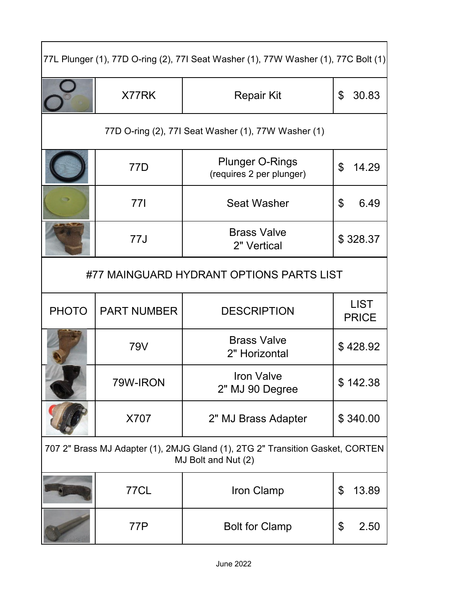|              |                    | 77L Plunger (1), 77D O-ring (2), 77I Seat Washer (1), 77W Washer (1), 77C Bolt (1)                   |                             |
|--------------|--------------------|------------------------------------------------------------------------------------------------------|-----------------------------|
|              | X77RK              | <b>Repair Kit</b>                                                                                    | \$<br>30.83                 |
|              |                    | 77D O-ring (2), 77I Seat Washer (1), 77W Washer (1)                                                  |                             |
|              | 77D                | <b>Plunger O-Rings</b><br>(requires 2 per plunger)                                                   | \$<br>14.29                 |
|              | 771                | <b>Seat Washer</b>                                                                                   | 6.49<br>\$                  |
|              | 77J                | <b>Brass Valve</b><br>2" Vertical                                                                    | \$328.37                    |
|              |                    | #77 MAINGUARD HYDRANT OPTIONS PARTS LIST                                                             |                             |
| <b>PHOTO</b> | <b>PART NUMBER</b> | <b>DESCRIPTION</b>                                                                                   | <b>LIST</b><br><b>PRICE</b> |
|              | 79V                | <b>Brass Valve</b><br>2" Horizontal                                                                  | \$428.92                    |
|              | 79W-IRON           | <b>Iron Valve</b><br>2" MJ 90 Degree                                                                 | \$142.38                    |
|              | X707               | 2" MJ Brass Adapter                                                                                  | \$340.00                    |
|              |                    | 707 2" Brass MJ Adapter (1), 2MJG Gland (1), 2TG 2" Transition Gasket, CORTEN<br>MJ Bolt and Nut (2) |                             |
|              | 77CL               | Iron Clamp                                                                                           | \$<br>13.89                 |
|              | 77P                | <b>Bolt for Clamp</b>                                                                                | \$<br>2.50                  |

┑

Ţ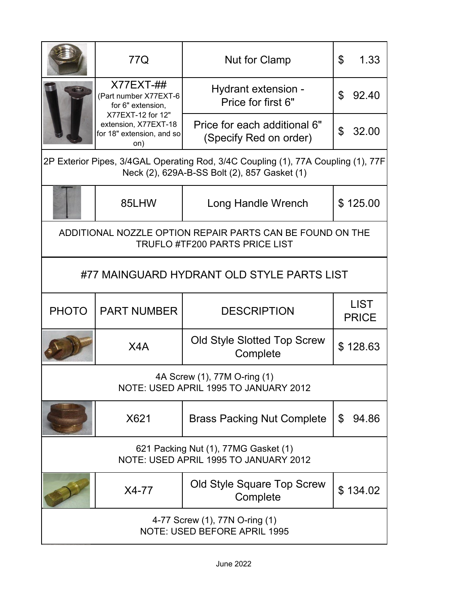|                                                                                                                                   | 77Q                                                                                                                                        | Nut for Clamp                                                                                      | \$<br>1.33                  |
|-----------------------------------------------------------------------------------------------------------------------------------|--------------------------------------------------------------------------------------------------------------------------------------------|----------------------------------------------------------------------------------------------------|-----------------------------|
|                                                                                                                                   | $X77EXT-##$<br>(Part number X77EXT-6<br>for 6" extension,<br>X77EXT-12 for 12"<br>extension, X77EXT-18<br>for 18" extension, and so<br>on) | Hydrant extension -<br>Price for first 6"                                                          | \$<br>92.40                 |
|                                                                                                                                   |                                                                                                                                            | Price for each additional 6"<br>(Specify Red on order)                                             | \$<br>32.00                 |
| 2P Exterior Pipes, 3/4GAL Operating Rod, 3/4C Coupling (1), 77A Coupling (1), 77F<br>Neck (2), 629A-B-SS Bolt (2), 857 Gasket (1) |                                                                                                                                            |                                                                                                    |                             |
|                                                                                                                                   | 85LHW                                                                                                                                      | Long Handle Wrench                                                                                 | \$125.00                    |
|                                                                                                                                   |                                                                                                                                            | ADDITIONAL NOZZLE OPTION REPAIR PARTS CAN BE FOUND ON THE<br><b>TRUFLO #TF200 PARTS PRICE LIST</b> |                             |
|                                                                                                                                   |                                                                                                                                            | #77 MAINGUARD HYDRANT OLD STYLE PARTS LIST                                                         |                             |
| <b>PHOTO</b>                                                                                                                      | <b>PART NUMBER</b>                                                                                                                         | <b>DESCRIPTION</b>                                                                                 | <b>LIST</b><br><b>PRICE</b> |
|                                                                                                                                   | X4A                                                                                                                                        | <b>Old Style Slotted Top Screw</b><br>Complete                                                     | \$128.63                    |
| 4A Screw (1), 77M O-ring (1)<br>NOTE: USED APRIL 1995 TO JANUARY 2012                                                             |                                                                                                                                            |                                                                                                    |                             |
|                                                                                                                                   | X621                                                                                                                                       | <b>Brass Packing Nut Complete</b>                                                                  | \$<br>94.86                 |
| 621 Packing Nut (1), 77MG Gasket (1)<br>NOTE: USED APRIL 1995 TO JANUARY 2012                                                     |                                                                                                                                            |                                                                                                    |                             |
|                                                                                                                                   | X4-77                                                                                                                                      | Old Style Square Top Screw<br>Complete                                                             | \$134.02                    |
| 4-77 Screw (1), 77N O-ring (1)<br>NOTE: USED BEFORE APRIL 1995                                                                    |                                                                                                                                            |                                                                                                    |                             |